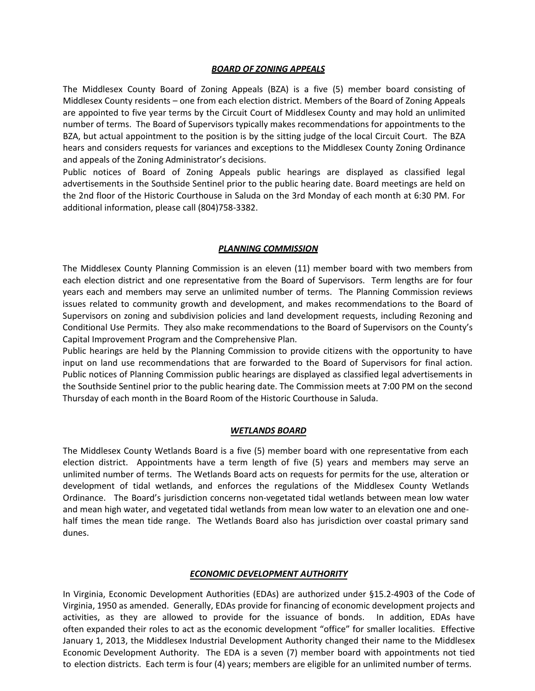## *BOARD OF ZONING APPEALS*

The Middlesex County Board of Zoning Appeals (BZA) is a five (5) member board consisting of Middlesex County residents – one from each election district. Members of the Board of Zoning Appeals are appointed to five year terms by the Circuit Court of Middlesex County and may hold an unlimited number of terms. The Board of Supervisors typically makes recommendations for appointments to the BZA, but actual appointment to the position is by the sitting judge of the local Circuit Court. The BZA hears and considers requests for variances and exceptions to the Middlesex County Zoning Ordinance and appeals of the Zoning Administrator's decisions.

Public notices of Board of Zoning Appeals public hearings are displayed as classified legal advertisements in the Southside Sentinel prior to the public hearing date. Board meetings are held on the 2nd floor of the Historic Courthouse in Saluda on the 3rd Monday of each month at 6:30 PM. For additional information, please call (804)758-3382.

## *PLANNING COMMISSION*

The Middlesex County Planning Commission is an eleven (11) member board with two members from each election district and one representative from the Board of Supervisors. Term lengths are for four years each and members may serve an unlimited number of terms. The Planning Commission reviews issues related to community growth and development, and makes recommendations to the Board of Supervisors on zoning and subdivision policies and land development requests, including Rezoning and Conditional Use Permits. They also make recommendations to the Board of Supervisors on the County's Capital Improvement Program and the Comprehensive Plan.

Public hearings are held by the Planning Commission to provide citizens with the opportunity to have input on land use recommendations that are forwarded to the Board of Supervisors for final action. Public notices of Planning Commission public hearings are displayed as classified legal advertisements in the Southside Sentinel prior to the public hearing date. The Commission meets at 7:00 PM on the second Thursday of each month in the Board Room of the Historic Courthouse in Saluda.

# *WETLANDS BOARD*

The Middlesex County Wetlands Board is a five (5) member board with one representative from each election district. Appointments have a term length of five (5) years and members may serve an unlimited number of terms. The Wetlands Board acts on requests for permits for the use, alteration or development of tidal wetlands, and enforces the regulations of the Middlesex County Wetlands Ordinance. The Board's jurisdiction concerns non-vegetated tidal wetlands between mean low water and mean high water, and vegetated tidal wetlands from mean low water to an elevation one and onehalf times the mean tide range. The Wetlands Board also has jurisdiction over coastal primary sand dunes.

#### *ECONOMIC DEVELOPMENT AUTHORITY*

In Virginia, Economic Development Authorities (EDAs) are authorized under §15.2-4903 of the Code of Virginia, 1950 as amended. Generally, EDAs provide for financing of economic development projects and activities, as they are allowed to provide for the issuance of bonds. In addition, EDAs have often expanded their roles to act as the economic development "office" for smaller localities. Effective January 1, 2013, the Middlesex Industrial Development Authority changed their name to the Middlesex Economic Development Authority. The EDA is a seven (7) member board with appointments not tied to election districts. Each term is four (4) years; members are eligible for an unlimited number of terms.